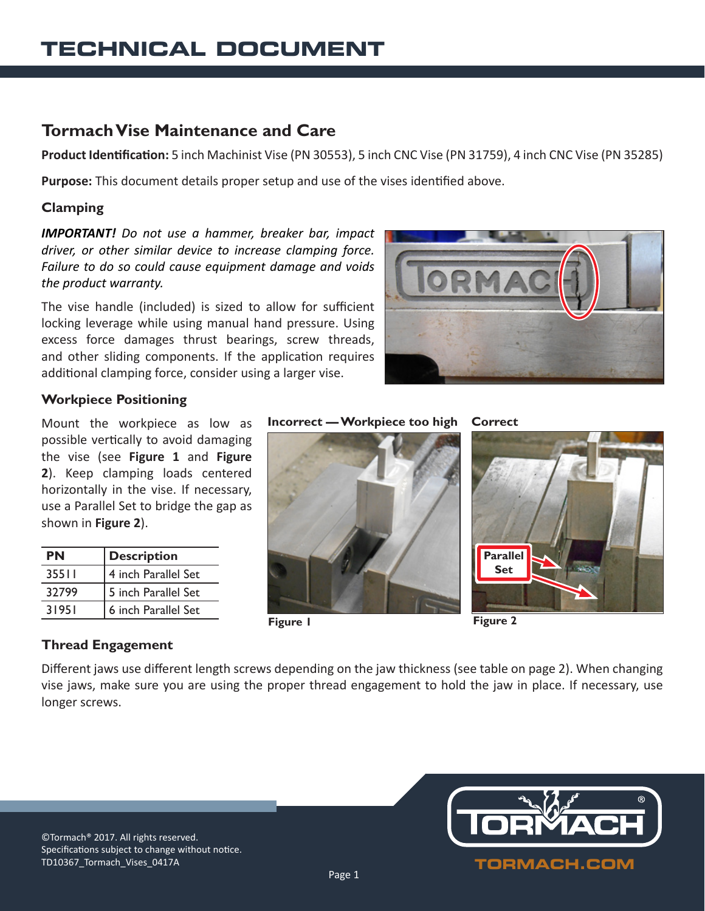# **Tormach Vise Maintenance and Care**

**Product Identification:** 5 inch Machinist Vise (PN 30553), 5 inch CNC Vise (PN 31759), 4 inch CNC Vise (PN 35285)

**Purpose:** This document details proper setup and use of the vises identified above.

## **Clamping**

*IMPORTANT! Do not use a hammer, breaker bar, impact driver, or other similar device to increase clamping force. Failure to do so could cause equipment damage and voids the product warranty.*

The vise handle (included) is sized to allow for sufficient locking leverage while using manual hand pressure. Using excess force damages thrust bearings, screw threads, and other sliding components. If the application requires additional clamping force, consider using a larger vise.



### **Workpiece Positioning**

Mount the workpiece as low as possible vertically to avoid damaging the vise (see **Figure 1** and **Figure 2**). Keep clamping loads centered horizontally in the vise. If necessary, use a Parallel Set to bridge the gap as shown in **Figure 2**).

| ΡN    | <b>Description</b>  |
|-------|---------------------|
| 35511 | 4 inch Parallel Set |
| 32799 | 5 inch Parallel Set |
| 31951 | 6 inch Parallel Set |







**Figure 2**

**Parallel Set**

# **Thread Engagement**

Different jaws use different length screws depending on the jaw thickness (see table on page 2). When changing vise jaws, make sure you are using the proper thread engagement to hold the jaw in place. If necessary, use longer screws.